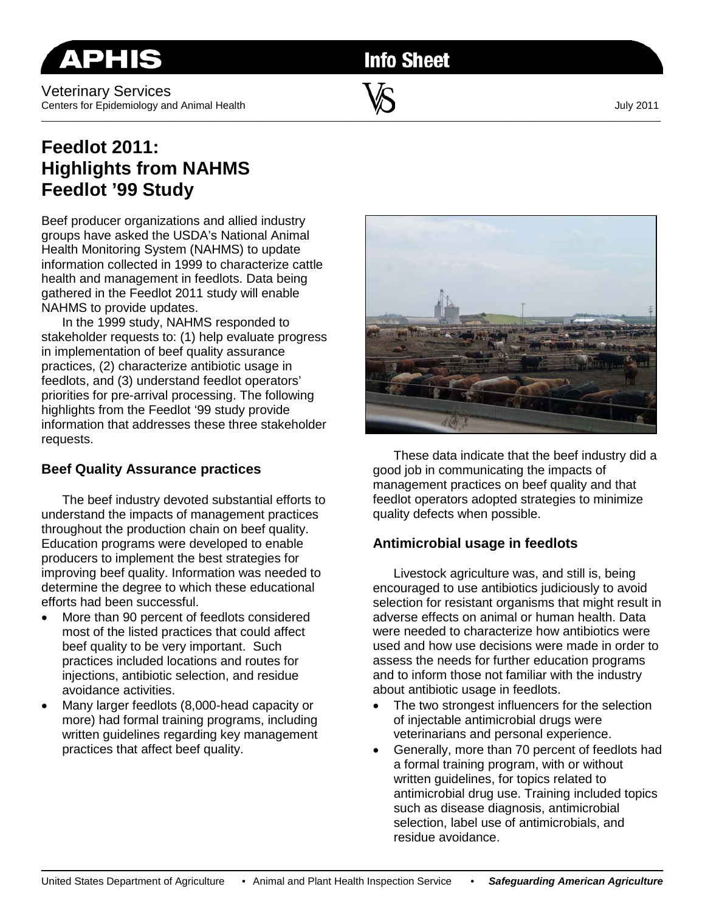Veterinary Services Centers for Epidemiology and Animal Health **W** W Centers for Epidemiology and Animal Health

**Info Sheet** 

\_\_\_\_\_\_\_\_\_\_\_\_\_\_\_\_\_\_\_\_\_\_\_\_\_\_\_\_\_\_\_\_\_\_\_\_\_\_\_\_\_\_\_\_\_\_\_\_\_\_\_\_\_\_\_\_\_\_\_\_\_\_\_\_\_\_\_\_\_\_\_\_\_\_\_\_\_\_\_\_\_\_\_\_\_\_\_\_\_\_\_\_\_\_\_\_\_\_\_\_\_\_\_\_\_\_\_\_\_\_\_\_\_\_\_\_\_\_\_\_\_

## **Feedlot 2011: Highlights from NAHMS Feedlot '99 Study**

Beef producer organizations and allied industry groups have asked the USDA's National Animal Health Monitoring System (NAHMS) to update information collected in 1999 to characterize cattle health and management in feedlots. Data being gathered in the Feedlot 2011 study will enable NAHMS to provide updates.

In the 1999 study, NAHMS responded to stakeholder requests to: (1) help evaluate progress in implementation of beef quality assurance practices, (2) characterize antibiotic usage in feedlots, and (3) understand feedlot operators' priorities for pre-arrival processing. The following highlights from the Feedlot '99 study provide information that addresses these three stakeholder requests.

## **Beef Quality Assurance practices**

The beef industry devoted substantial efforts to understand the impacts of management practices throughout the production chain on beef quality. Education programs were developed to enable producers to implement the best strategies for improving beef quality. Information was needed to determine the degree to which these educational efforts had been successful.

- More than 90 percent of feedlots considered most of the listed practices that could affect beef quality to be very important. Such practices included locations and routes for injections, antibiotic selection, and residue avoidance activities.
- Many larger feedlots (8,000-head capacity or more) had formal training programs, including written guidelines regarding key management practices that affect beef quality.



These data indicate that the beef industry did a good job in communicating the impacts of management practices on beef quality and that feedlot operators adopted strategies to minimize quality defects when possible.

## **Antimicrobial usage in feedlots**

Livestock agriculture was, and still is, being encouraged to use antibiotics judiciously to avoid selection for resistant organisms that might result in adverse effects on animal or human health. Data were needed to characterize how antibiotics were used and how use decisions were made in order to assess the needs for further education programs and to inform those not familiar with the industry about antibiotic usage in feedlots.

- The two strongest influencers for the selection of injectable antimicrobial drugs were veterinarians and personal experience.
- Generally, more than 70 percent of feedlots had a formal training program, with or without written guidelines, for topics related to antimicrobial drug use. Training included topics such as disease diagnosis, antimicrobial selection, label use of antimicrobials, and residue avoidance.